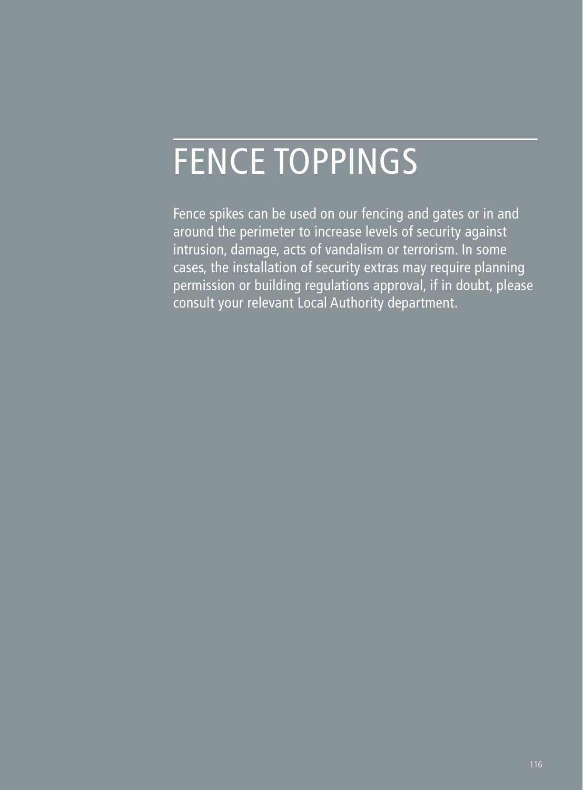# FENCE TOPPINGS

Fence spikes can be used on our fencing and gates or in and around the perimeter to increase levels of security against intrusion, damage, acts of vandalism or terrorism. In some cases, the installation of security extras may require planning permission or building regulations approval, if in doubt, please consult your relevant Local Authority department.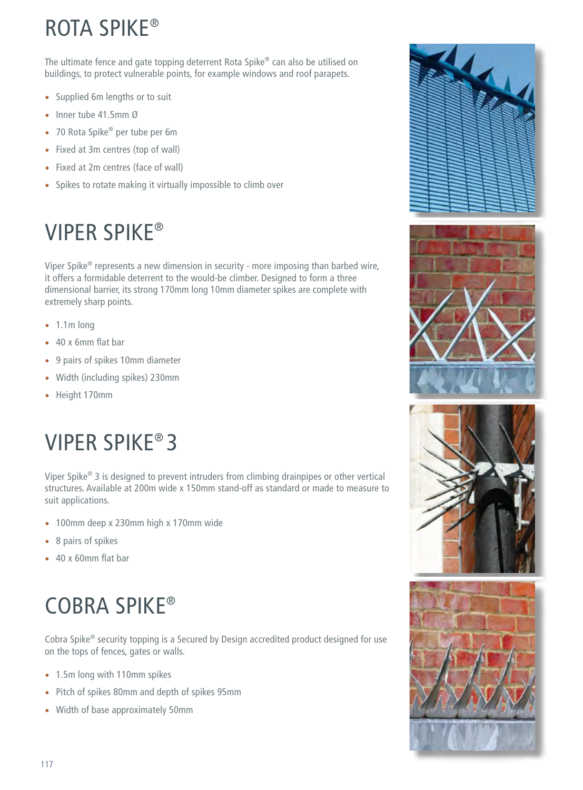## ROTA SPIKE®

The ultimate fence and gate topping deterrent Rota Spike® can also be utilised on buildings, to protect vulnerable points, for example windows and roof parapets.

- Supplied 6m lengths or to suit
- Inner tube 41.5mm Ø
- 70 Rota Spike<sup>®</sup> per tube per 6m
- Fixed at 3m centres (top of wall)
- Fixed at 2m centres (face of wall)
- Spikes to rotate making it virtually impossible to climb over

## VIPER SPIKE®

Viper Spike® represents a new dimension in security - more imposing than barbed wire, it offers a formidable deterrent to the would-be climber. Designed to form a three dimensional barrier, its strong 170mm long 10mm diameter spikes are complete with extremely sharp points.

- 1.1m long
- 40 x 6mm flat bar
- 9 pairs of spikes 10mm diameter
- Width (including spikes) 230mm
- Height 170mm

## VIPER SPIKE® 3

Viper Spike® 3 is designed to prevent intruders from climbing drainpipes or other vertical structures. Available at 200m wide x 150mm stand-off as standard or made to measure to suit applications.

- 100mm deep x 230mm high x 170mm wide
- 8 pairs of spikes
- 40 x 60mm flat bar

# COBRA SPIKE®

Cobra Spike® security topping is a Secured by Design accredited product designed for use on the tops of fences, gates or walls.

- 1.5m long with 110mm spikes
- Pitch of spikes 80mm and depth of spikes 95mm
- Width of base approximately 50mm